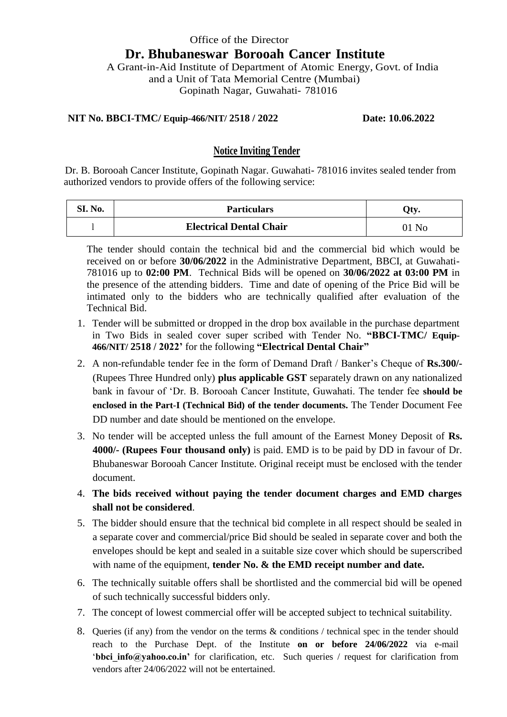# Office of the Director  **Dr. Bhubaneswar Borooah Cancer Institute** A Grant-in-Aid Institute of Department of Atomic Energy, Govt. of India and a Unit of Tata Memorial Centre (Mumbai)

Gopinath Nagar, Guwahati- 781016

#### **NIT No. BBCI-TMC/ Equip-466/NIT/ 2518 / 2022 Date: 10.06.2022**

### **Notice Inviting Tender**

 Dr. B. Borooah Cancer Institute, Gopinath Nagar. Guwahati- 781016 invites sealed tender from authorized vendors to provide offers of the following service:

| SI. No. | <b>Particulars</b>             | Oty |
|---------|--------------------------------|-----|
|         | <b>Electrical Dental Chair</b> | No  |

The tender should contain the technical bid and the commercial bid which would be received on or before **30/06/2022** in the Administrative Department, BBCI, at Guwahati-781016 up to **02:00 PM**. Technical Bids will be opened on **30/06/2022 at 03:00 PM** in the presence of the attending bidders. Time and date of opening of the Price Bid will be intimated only to the bidders who are technically qualified after evaluation of the Technical Bid.

- 1. Tender will be submitted or dropped in the drop box available in the purchase department in Two Bids in sealed cover super scribed with Tender No. **"BBCI-TMC/ Equip-466/NIT/ 2518 / 2022'** for the following **"Electrical Dental Chair"**
- 2. A non-refundable tender fee in the form of Demand Draft / Banker's Cheque of **Rs.300/-** (Rupees Three Hundred only) **plus applicable GST** separately drawn on any nationalized bank in favour of 'Dr. B. Borooah Cancer Institute, Guwahati. The tender fee **should be enclosed in the Part-I (Technical Bid) of the tender documents.** The Tender Document Fee DD number and date should be mentioned on the envelope.
- 3. No tender will be accepted unless the full amount of the Earnest Money Deposit of **Rs. 4000/- (Rupees Four thousand only)** is paid. EMD is to be paid by DD in favour of Dr. Bhubaneswar Borooah Cancer Institute. Original receipt must be enclosed with the tender document.
- 4. **The bids received without paying the tender document charges and EMD charges shall not be considered**.
- 5. The bidder should ensure that the technical bid complete in all respect should be sealed in a separate cover and commercial/price Bid should be sealed in separate cover and both the envelopes should be kept and sealed in a suitable size cover which should be superscribed with name of the equipment, **tender No. & the EMD receipt number and date.**
- 6. The technically suitable offers shall be shortlisted and the commercial bid will be opened of such technically successful bidders only.
- 7. The concept of lowest commercial offer will be accepted subject to technical suitability.
- 8. Queries (if any) from the vendor on the terms & conditions / technical spec in the tender should reach to the Purchase Dept. of the Institute **on or before 24/06/2022** via e-mail '**bbci** info@yahoo.co.in' for clarification, etc. Such queries / request for clarification from vendors after 24/06/2022 will not be entertained.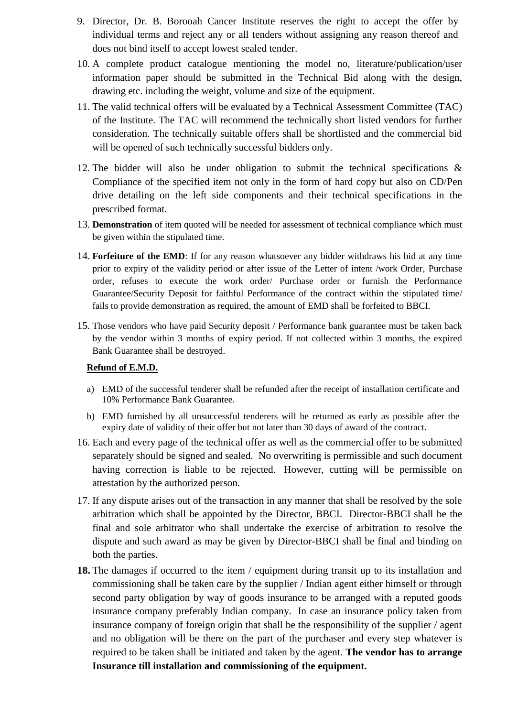- 9. Director, Dr. B. Borooah Cancer Institute reserves the right to accept the offer by individual terms and reject any or all tenders without assigning any reason thereof and does not bind itself to accept lowest sealed tender.
- 10. A complete product catalogue mentioning the model no, literature/publication/user information paper should be submitted in the Technical Bid along with the design, drawing etc. including the weight, volume and size of the equipment.
- 11. The valid technical offers will be evaluated by a Technical Assessment Committee (TAC) of the Institute. The TAC will recommend the technically short listed vendors for further consideration. The technically suitable offers shall be shortlisted and the commercial bid will be opened of such technically successful bidders only.
- 12. The bidder will also be under obligation to submit the technical specifications & Compliance of the specified item not only in the form of hard copy but also on CD/Pen drive detailing on the left side components and their technical specifications in the prescribed format.
- 13. **Demonstration** of item quoted will be needed for assessment of technical compliance which must be given within the stipulated time.
- 14. **Forfeiture of the EMD**: If for any reason whatsoever any bidder withdraws his bid at any time prior to expiry of the validity period or after issue of the Letter of intent /work Order, Purchase order, refuses to execute the work order/ Purchase order or furnish the Performance Guarantee/Security Deposit for faithful Performance of the contract within the stipulated time/ fails to provide demonstration as required, the amount of EMD shall be forfeited to BBCI.
- 15. Those vendors who have paid Security deposit / Performance bank guarantee must be taken back by the vendor within 3 months of expiry period. If not collected within 3 months, the expired Bank Guarantee shall be destroyed.

#### **Refund of E.M.D.**

- a) EMD of the successful tenderer shall be refunded after the receipt of installation certificate and 10% Performance Bank Guarantee.
- b) EMD furnished by all unsuccessful tenderers will be returned as early as possible after the expiry date of validity of their offer but not later than 30 days of award of the contract.
- 16. Each and every page of the technical offer as well as the commercial offer to be submitted separately should be signed and sealed. No overwriting is permissible and such document having correction is liable to be rejected. However, cutting will be permissible on attestation by the authorized person.
- 17. If any dispute arises out of the transaction in any manner that shall be resolved by the sole arbitration which shall be appointed by the Director, BBCI. Director-BBCI shall be the final and sole arbitrator who shall undertake the exercise of arbitration to resolve the dispute and such award as may be given by Director-BBCI shall be final and binding on both the parties.
- **18.** The damages if occurred to the item / equipment during transit up to its installation and commissioning shall be taken care by the supplier / Indian agent either himself or through second party obligation by way of goods insurance to be arranged with a reputed goods insurance company preferably Indian company. In case an insurance policy taken from insurance company of foreign origin that shall be the responsibility of the supplier / agent and no obligation will be there on the part of the purchaser and every step whatever is required to be taken shall be initiated and taken by the agent. **The vendor has to arrange Insurance till installation and commissioning of the equipment.**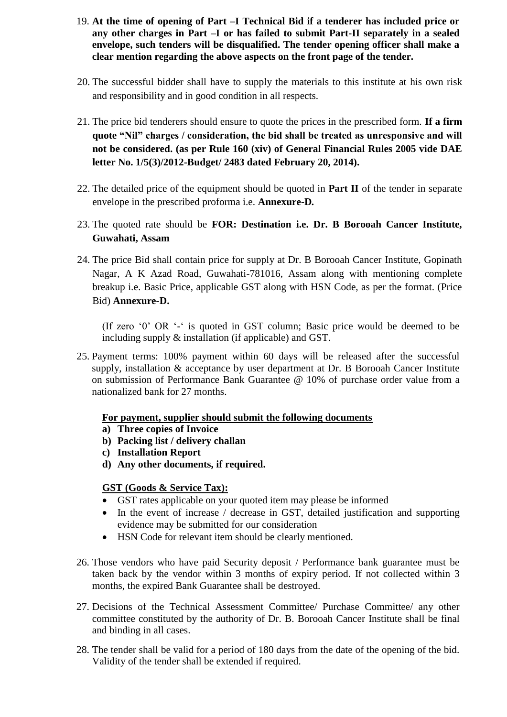- 19. **At the time of opening of Part –I Technical Bid if a tenderer has included price or any other charges in Part –I or has failed to submit Part-II separately in a sealed envelope, such tenders will be disqualified. The tender opening officer shall make a clear mention regarding the above aspects on the front page of the tender.**
- 20. The successful bidder shall have to supply the materials to this institute at his own risk and responsibility and in good condition in all respects.
- 21. The price bid tenderers should ensure to quote the prices in the prescribed form. **If a firm quote "Nil" charges / consideration, the bid shall be treated as unresponsive and will not be considered. (as per Rule 160 (xiv) of General Financial Rules 2005 vide DAE letter No. 1/5(3)/2012-Budget/ 2483 dated February 20, 2014).**
- 22. The detailed price of the equipment should be quoted in **Part II** of the tender in separate envelope in the prescribed proforma i.e. **Annexure-D***.*
- 23. The quoted rate should be **FOR: Destination i.e. Dr. B Borooah Cancer Institute, Guwahati, Assam**
- 24. The price Bid shall contain price for supply at Dr. B Borooah Cancer Institute, Gopinath Nagar, A K Azad Road, Guwahati-781016, Assam along with mentioning complete breakup i.e. Basic Price, applicable GST along with HSN Code, as per the format. (Price Bid) **Annexure-D.**

(If zero '0' OR '-' is quoted in GST column; Basic price would be deemed to be including supply & installation (if applicable) and GST.

25. Payment terms: 100% payment within 60 days will be released after the successful supply, installation & acceptance by user department at Dr. B Borooah Cancer Institute on submission of Performance Bank Guarantee @ 10% of purchase order value from a nationalized bank for 27 months.

### **For payment, supplier should submit the following documents**

- **a) Three copies of Invoice**
- **b) Packing list / delivery challan**
- **c) Installation Report**
- **d) Any other documents, if required.**

### **GST (Goods & Service Tax):**

- GST rates applicable on your quoted item may please be informed
- In the event of increase / decrease in GST, detailed justification and supporting evidence may be submitted for our consideration
- HSN Code for relevant item should be clearly mentioned.
- 26. Those vendors who have paid Security deposit / Performance bank guarantee must be taken back by the vendor within 3 months of expiry period. If not collected within 3 months, the expired Bank Guarantee shall be destroyed.
- 27. Decisions of the Technical Assessment Committee/ Purchase Committee/ any other committee constituted by the authority of Dr. B. Borooah Cancer Institute shall be final and binding in all cases.
- 28. The tender shall be valid for a period of 180 days from the date of the opening of the bid. Validity of the tender shall be extended if required.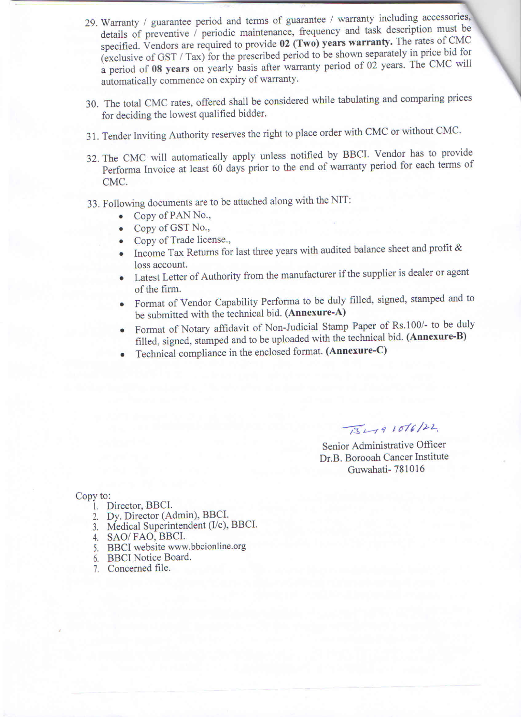- 29. Warranty / guarantee period and terms of guarantee / warranty including accessories, details of preventive / periodic maintenance, frequency and task description must be specified. Vendors are required to provide 02 (Two) years warranty. The rates of CMC (exclusive of GST / Tax) for the prescribed period to be shown separately in price bid for a period of 08 years on yearly basis after warranty period of 02 years. The CMC will automatically commence on expiry of warranty.
- 30. The total CMC rates, offered shall be considered while tabulating and comparing prices for deciding the lowest qualified bidder.
- 31. Tender Inviting Authority reserves the right to place order with CMC or without CMC.
- 32. The CMC will automatically apply unless notified by BBCI. Vendor has to provide Performa Invoice at least 60 days prior to the end of warranty period for each terms of CMC.
- 33. Following documents are to be attached along with the NIT:
	- Copy of PAN No.,  $\bullet$
	- Copy of GST No.,  $\bullet$
	- Copy of Trade license.,
	- Income Tax Returns for last three years with audited balance sheet and profit & loss account.
	- Latest Letter of Authority from the manufacturer if the supplier is dealer or agent of the firm.
	- Format of Vendor Capability Performa to be duly filled, signed, stamped and to be submitted with the technical bid. (Annexure-A)
	- Format of Notary affidavit of Non-Judicial Stamp Paper of Rs.100/- to be duly filled, signed, stamped and to be uploaded with the technical bid. (Annexure-B)
	- Technical compliance in the enclosed format. (Annexure-C)

 $\sqrt{3}491016/22$ 

Senior Administrative Officer Dr.B. Borooah Cancer Institute Guwahati-781016

#### Copy to:

- 1. Director, BBCI.
- 
- 2. Dy. Director (Admin), BBCI.<br>3. Medical Superintendent (I/c), BBCI.
- 4. SAO/FAO, BBCI.
- 5. BBCI website www.bbcionline.org
- 6. BBCI Notice Board.
- 7. Concerned file.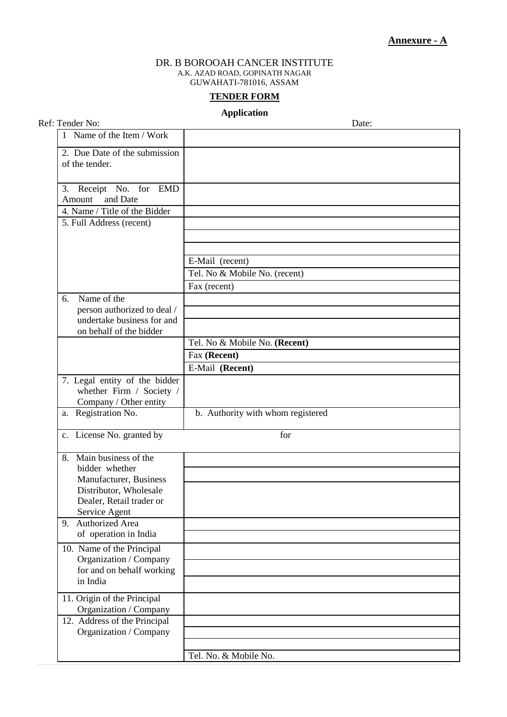#### DR. B BOROOAH CANCER INSTITUTE A.K. AZAD ROAD, GOPINATH NAGAR GUWAHATI-781016, ASSAM

#### **TENDER FORM**

#### **Application**

| Ref: Tender No:                                                                     | Date:                             |
|-------------------------------------------------------------------------------------|-----------------------------------|
| 1 Name of the Item / Work                                                           |                                   |
| 2. Due Date of the submission<br>of the tender.                                     |                                   |
| Receipt No. for EMD<br>3.<br>and Date<br>Amount                                     |                                   |
| 4. Name / Title of the Bidder                                                       |                                   |
| 5. Full Address (recent)                                                            |                                   |
|                                                                                     | E-Mail (recent)                   |
|                                                                                     | Tel. No & Mobile No. (recent)     |
|                                                                                     | Fax (recent)                      |
| Name of the<br>6.                                                                   |                                   |
| person authorized to deal /                                                         |                                   |
| undertake business for and                                                          |                                   |
| on behalf of the bidder                                                             |                                   |
|                                                                                     | Tel. No & Mobile No. (Recent)     |
|                                                                                     | Fax (Recent)                      |
|                                                                                     | E-Mail (Recent)                   |
| 7. Legal entity of the bidder<br>whether Firm / Society /<br>Company / Other entity |                                   |
| a. Registration No.                                                                 | b. Authority with whom registered |
| c. License No. granted by                                                           | for                               |
| 8. Main business of the<br>bidder whether                                           |                                   |
| Manufacturer, Business                                                              |                                   |
| Distributor, Wholesale                                                              |                                   |
| Dealer, Retail trader or                                                            |                                   |
| Service Agent<br>9. Authorized Area                                                 |                                   |
| of operation in India                                                               |                                   |
|                                                                                     |                                   |
| 10. Name of the Principal<br>Organization / Company                                 |                                   |
| for and on behalf working                                                           |                                   |
| in India                                                                            |                                   |
|                                                                                     |                                   |
| $\overline{11}$ . Origin of the Principal<br>Organization / Company                 |                                   |
| 12. Address of the Principal                                                        |                                   |
| Organization / Company                                                              |                                   |
|                                                                                     |                                   |
|                                                                                     | Tel. No. & Mobile No.             |
|                                                                                     |                                   |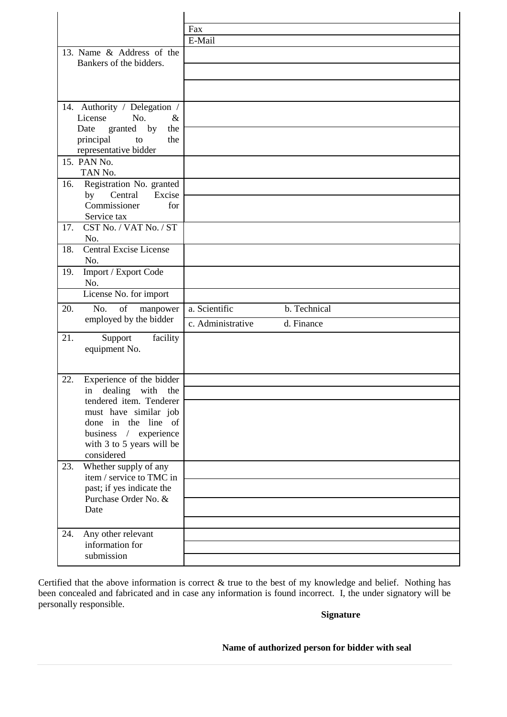|                                                            | Fax                             |
|------------------------------------------------------------|---------------------------------|
|                                                            | E-Mail                          |
| 13. Name & Address of the                                  |                                 |
| Bankers of the bidders.                                    |                                 |
|                                                            |                                 |
|                                                            |                                 |
| 14. Authority / Delegation /                               |                                 |
| No.<br>License<br>$\&$                                     |                                 |
| granted by<br>the<br>Date                                  |                                 |
| principal<br>to<br>the                                     |                                 |
| representative bidder                                      |                                 |
| 15. PAN No.                                                |                                 |
| TAN No.                                                    |                                 |
| Registration No. granted<br>16.<br>Central<br>Excise<br>by |                                 |
| Commissioner<br>for                                        |                                 |
| Service tax                                                |                                 |
| CST No. / VAT No. / ST<br>17.                              |                                 |
| No.                                                        |                                 |
| <b>Central Excise License</b><br>18.                       |                                 |
| No.                                                        |                                 |
| Import / Export Code<br>19.<br>No.                         |                                 |
| License No. for import                                     |                                 |
|                                                            | b. Technical                    |
| 20.<br>No.<br>of<br>manpower<br>employed by the bidder     | a. Scientific                   |
|                                                            | d. Finance<br>c. Administrative |
| 21.<br>Support<br>facility                                 |                                 |
| equipment No.                                              |                                 |
|                                                            |                                 |
| Experience of the bidder<br>22.                            |                                 |
| in dealing with<br>the                                     |                                 |
| tendered item. Tenderer                                    |                                 |
|                                                            |                                 |
| must have similar job                                      |                                 |
| done in the line of                                        |                                 |
| business / experience                                      |                                 |
| with 3 to 5 years will be                                  |                                 |
| considered                                                 |                                 |
| Whether supply of any<br>23.<br>item / service to TMC in   |                                 |
| past; if yes indicate the                                  |                                 |
| Purchase Order No. &                                       |                                 |
| Date                                                       |                                 |
|                                                            |                                 |
| Any other relevant<br>24.                                  |                                 |
| information for<br>submission                              |                                 |

Certified that the above information is correct & true to the best of my knowledge and belief. Nothing has been concealed and fabricated and in case any information is found incorrect. I, the under signatory will be personally responsible.

#### **Signature**

#### **Name of authorized person for bidder with seal**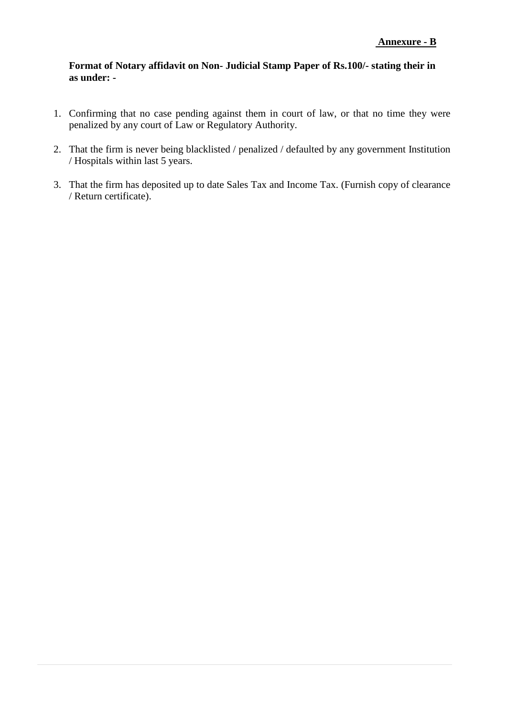#### **Format of Notary affidavit on Non- Judicial Stamp Paper of Rs.100/- stating their in as under: -**

- 1. Confirming that no case pending against them in court of law, or that no time they were penalized by any court of Law or Regulatory Authority.
- 2. That the firm is never being blacklisted / penalized / defaulted by any government Institution / Hospitals within last 5 years.
- 3. That the firm has deposited up to date Sales Tax and Income Tax. (Furnish copy of clearance / Return certificate).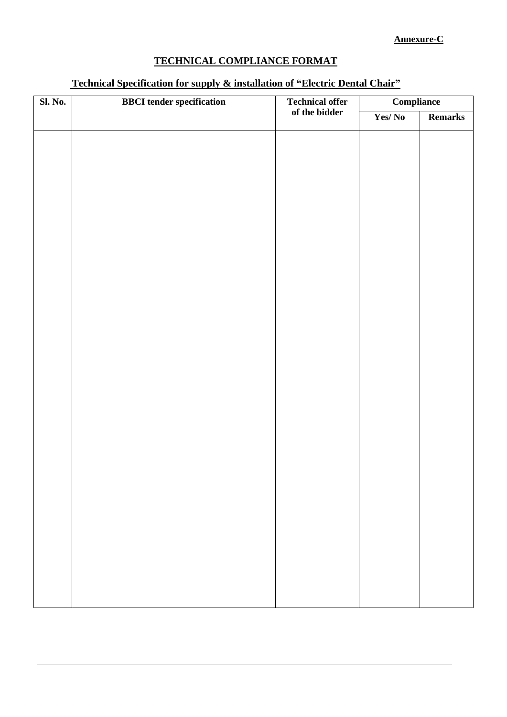## **Annexure-C**

# **TECHNICAL COMPLIANCE FORMAT**

### **Technical Specification for supply & installation of "Electric Dental Chair"**

| <b>Sl. No.</b> | <b>BBCI</b> tender specification | <b>Technical offer</b> | <b>Compliance</b> |         |
|----------------|----------------------------------|------------------------|-------------------|---------|
|                |                                  | of the bidder          | Yes/No            | Remarks |
|                |                                  |                        |                   |         |
|                |                                  |                        |                   |         |
|                |                                  |                        |                   |         |
|                |                                  |                        |                   |         |
|                |                                  |                        |                   |         |
|                |                                  |                        |                   |         |
|                |                                  |                        |                   |         |
|                |                                  |                        |                   |         |
|                |                                  |                        |                   |         |
|                |                                  |                        |                   |         |
|                |                                  |                        |                   |         |
|                |                                  |                        |                   |         |
|                |                                  |                        |                   |         |
|                |                                  |                        |                   |         |
|                |                                  |                        |                   |         |
|                |                                  |                        |                   |         |
|                |                                  |                        |                   |         |
|                |                                  |                        |                   |         |
|                |                                  |                        |                   |         |
|                |                                  |                        |                   |         |
|                |                                  |                        |                   |         |
|                |                                  |                        |                   |         |
|                |                                  |                        |                   |         |
|                |                                  |                        |                   |         |
|                |                                  |                        |                   |         |
|                |                                  |                        |                   |         |
|                |                                  |                        |                   |         |
|                |                                  |                        |                   |         |
|                |                                  |                        |                   |         |
|                |                                  |                        |                   |         |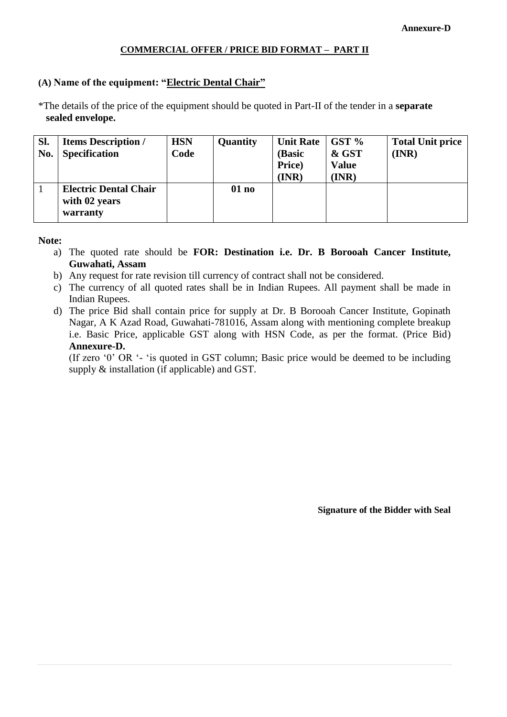#### **COMMERCIAL OFFER / PRICE BID FORMAT – PART II**

#### **(A) Name of the equipment: "Electric Dental Chair"**

\*The details of the price of the equipment should be quoted in Part-II of the tender in a **separate sealed envelope.**

| Sl.<br>No. | <b>Items Description /</b><br><b>Specification</b>        | <b>HSN</b><br>Code | Quantity | <b>Unit Rate</b><br>(Basic<br>Price)<br>(INR) | $GST\%$<br>& GST<br><b>Value</b><br>(INR) | <b>Total Unit price</b><br>(INR) |
|------------|-----------------------------------------------------------|--------------------|----------|-----------------------------------------------|-------------------------------------------|----------------------------------|
|            | <b>Electric Dental Chair</b><br>with 02 years<br>warranty |                    | 01 no    |                                               |                                           |                                  |

#### **Note:**

- a) The quoted rate should be **FOR: Destination i.e. Dr. B Borooah Cancer Institute, Guwahati, Assam**
- b) Any request for rate revision till currency of contract shall not be considered.
- c) The currency of all quoted rates shall be in Indian Rupees. All payment shall be made in Indian Rupees.
- d) The price Bid shall contain price for supply at Dr. B Borooah Cancer Institute, Gopinath Nagar, A K Azad Road, Guwahati-781016, Assam along with mentioning complete breakup i.e. Basic Price, applicable GST along with HSN Code, as per the format. (Price Bid) **Annexure-D.**

(If zero '0' OR '- 'is quoted in GST column; Basic price would be deemed to be including supply & installation (if applicable) and GST.

**Signature of the Bidder with Seal**